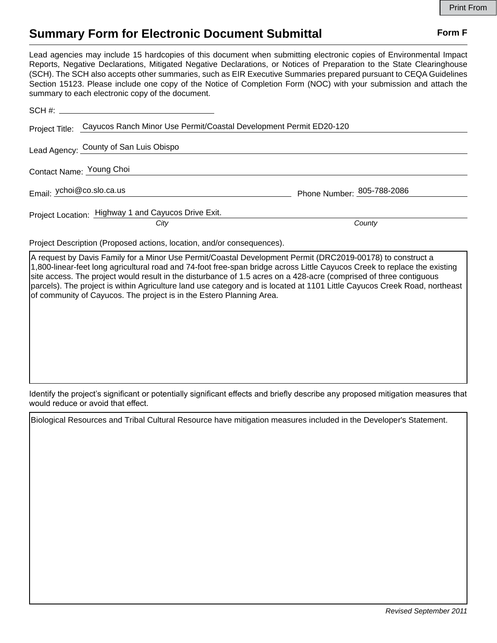## **Summary Form for Electronic Document Submittal Form F Form F**

Lead agencies may include 15 hardcopies of this document when submitting electronic copies of Environmental Impact Reports, Negative Declarations, Mitigated Negative Declarations, or Notices of Preparation to the State Clearinghouse (SCH). The SCH also accepts other summaries, such as EIR Executive Summaries prepared pursuant to CEQA Guidelines Section 15123. Please include one copy of the Notice of Completion Form (NOC) with your submission and attach the summary to each electronic copy of the document.

| Project Title: Cayucos Ranch Minor Use Permit/Coastal Development Permit ED20-120 |                            |
|-----------------------------------------------------------------------------------|----------------------------|
| Lead Agency: County of San Luis Obispo                                            |                            |
| Contact Name: Young Choi                                                          |                            |
| Email: ychoi@co.slo.ca.us                                                         | Phone Number: 805-788-2086 |
| Project Location: Highway 1 and Cayucos Drive Exit.<br>City                       | County                     |

Project Description (Proposed actions, location, and/or consequences).

A request by Davis Family for a Minor Use Permit/Coastal Development Permit (DRC2019-00178) to construct a 1,800-linear-feet long agricultural road and 74-foot free-span bridge across Little Cayucos Creek to replace the existing site access. The project would result in the disturbance of 1.5 acres on a 428-acre (comprised of three contiguous parcels). The project is within Agriculture land use category and is located at 1101 Little Cayucos Creek Road, northeast of community of Cayucos. The project is in the Estero Planning Area.

Identify the project's significant or potentially significant effects and briefly describe any proposed mitigation measures that would reduce or avoid that effect.

Biological Resources and Tribal Cultural Resource have mitigation measures included in the Developer's Statement.